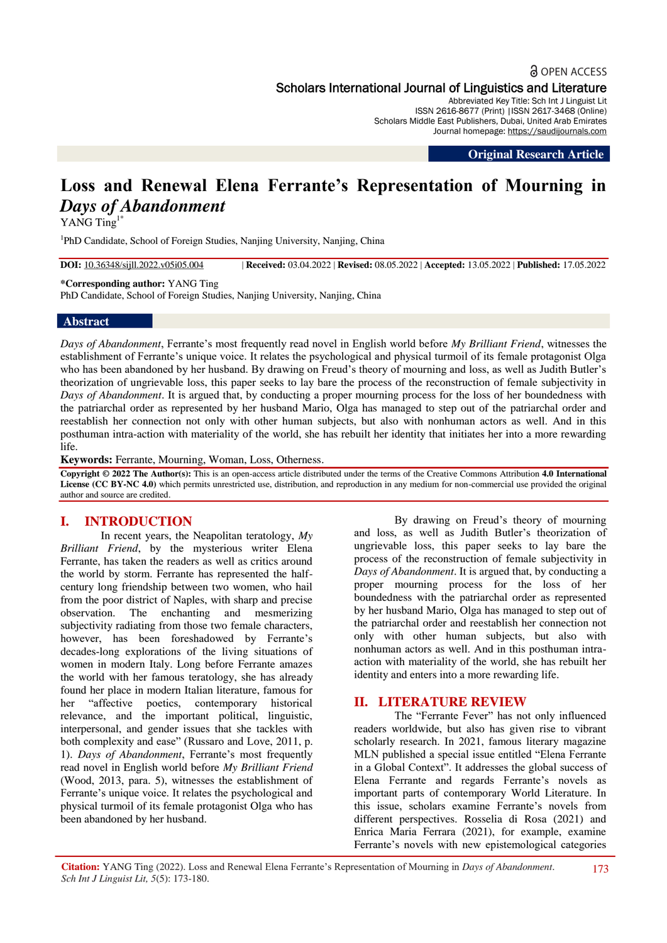## **a** OPEN ACCESS Scholars International Journal of Linguistics and Literature

Abbreviated Key Title: Sch Int J Linguist Lit ISSN 2616-8677 (Print) |ISSN 2617-3468 (Online) Scholars Middle East Publishers, Dubai, United Arab Emirates Journal homepage: https://saudijournals.com

**Original Research Article**

# **Loss and Renewal Elena Ferrante's Representation of Mourning in**  *Days of Abandonment*

YANG Ting<sup>1\*</sup>

<sup>1</sup>PhD Candidate, School of Foreign Studies, Nanjing University, Nanjing, China

**DOI:** 10.36348/sijll.2022.v05i05.004 | **Received:** 03.04.2022 | **Revised:** 08.05.2022 | **Accepted:** 13.05.2022 | **Published:** 17.05.2022

**\*Corresponding author:** YANG Ting

PhD Candidate, School of Foreign Studies, Nanjing University, Nanjing, China

#### **Abstract**

*Days of Abandonment*, Ferrante's most frequently read novel in English world before *My Brilliant Friend*, witnesses the establishment of Ferrante's unique voice. It relates the psychological and physical turmoil of its female protagonist Olga who has been abandoned by her husband. By drawing on Freud's theory of mourning and loss, as well as Judith Butler's theorization of ungrievable loss, this paper seeks to lay bare the process of the reconstruction of female subjectivity in *Days of Abandonment*. It is argued that, by conducting a proper mourning process for the loss of her boundedness with the patriarchal order as represented by her husband Mario, Olga has managed to step out of the patriarchal order and reestablish her connection not only with other human subjects, but also with nonhuman actors as well. And in this posthuman intra-action with materiality of the world, she has rebuilt her identity that initiates her into a more rewarding life.

**Keywords:** Ferrante, Mourning, Woman, Loss, Otherness.

**Copyright © 2022 The Author(s):** This is an open-access article distributed under the terms of the Creative Commons Attribution **4.0 International License (CC BY-NC 4.0)** which permits unrestricted use, distribution, and reproduction in any medium for non-commercial use provided the original author and source are credited.

## **I. INTRODUCTION**

In recent years, the Neapolitan teratology, *My Brilliant Friend*, by the mysterious writer Elena Ferrante, has taken the readers as well as critics around the world by storm. Ferrante has represented the halfcentury long friendship between two women, who hail from the poor district of Naples, with sharp and precise observation. The enchanting and mesmerizing subjectivity radiating from those two female characters, however, has been foreshadowed by Ferrante's decades-long explorations of the living situations of women in modern Italy. Long before Ferrante amazes the world with her famous teratology, she has already found her place in modern Italian literature, famous for her "affective poetics, contemporary historical relevance, and the important political, linguistic, interpersonal, and gender issues that she tackles with both complexity and ease" (Russaro and Love, 2011, p. 1). *Days of Abandonment*, Ferrante's most frequently read novel in English world before *My Brilliant Friend* (Wood, 2013, para. 5), witnesses the establishment of Ferrante's unique voice. It relates the psychological and physical turmoil of its female protagonist Olga who has been abandoned by her husband.

By drawing on Freud's theory of mourning and loss, as well as Judith Butler's theorization of ungrievable loss, this paper seeks to lay bare the process of the reconstruction of female subjectivity in *Days of Abandonment*. It is argued that, by conducting a proper mourning process for the loss of her boundedness with the patriarchal order as represented by her husband Mario, Olga has managed to step out of the patriarchal order and reestablish her connection not only with other human subjects, but also with nonhuman actors as well. And in this posthuman intraaction with materiality of the world, she has rebuilt her identity and enters into a more rewarding life.

## **II. LITERATURE REVIEW**

The "Ferrante Fever" has not only influenced readers worldwide, but also has given rise to vibrant scholarly research. In 2021, famous literary magazine MLN published a special issue entitled "Elena Ferrante in a Global Context". It addresses the global success of Elena Ferrante and regards Ferrante's novels as important parts of contemporary World Literature. In this issue, scholars examine Ferrante's novels from different perspectives. Rosselia di Rosa (2021) and Enrica Maria Ferrara (2021), for example, examine Ferrante's novels with new epistemological categories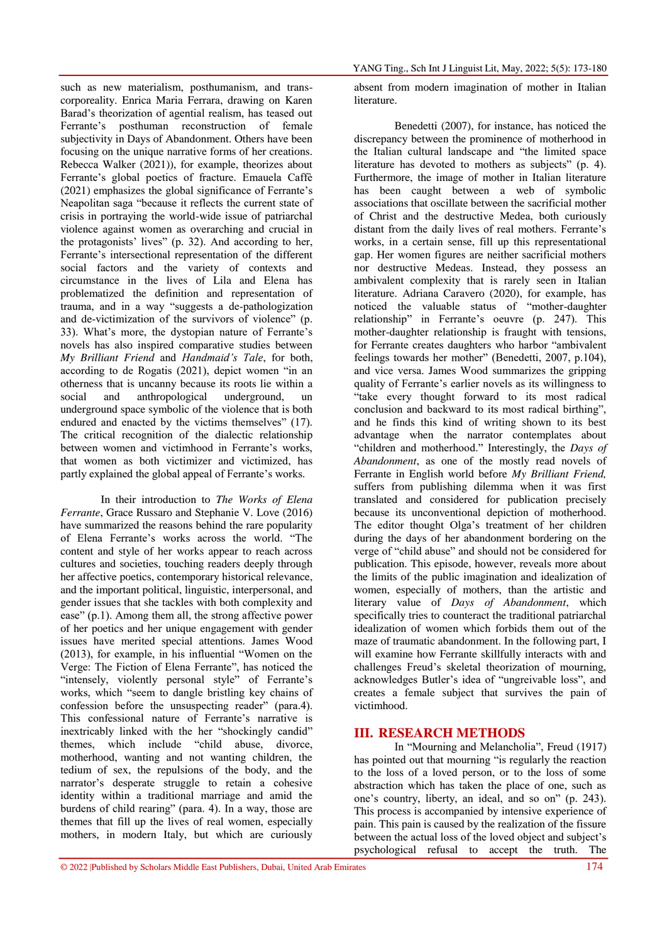such as new materialism, posthumanism, and transcorporeality. Enrica Maria Ferrara, drawing on Karen Barad's theorization of agential realism, has teased out Ferrante's posthuman reconstruction of female subjectivity in Days of Abandonment. Others have been focusing on the unique narrative forms of her creations. Rebecca Walker (2021)), for example, theorizes about Ferrante's global poetics of fracture. Emauela Caffè (2021) emphasizes the global significance of Ferrante's Neapolitan saga "because it reflects the current state of crisis in portraying the world-wide issue of patriarchal violence against women as overarching and crucial in the protagonists' lives" (p. 32). And according to her, Ferrante's intersectional representation of the different social factors and the variety of contexts and circumstance in the lives of Lila and Elena has problematized the definition and representation of trauma, and in a way "suggests a de-pathologization and de-victimization of the survivors of violence" (p. 33). What's more, the dystopian nature of Ferrante's novels has also inspired comparative studies between *My Brilliant Friend* and *Handmaid's Tale*, for both, according to de Rogatis (2021), depict women "in an otherness that is uncanny because its roots lie within a social and anthropological underground, un underground space symbolic of the violence that is both endured and enacted by the victims themselves" (17). The critical recognition of the dialectic relationship between women and victimhood in Ferrante's works, that women as both victimizer and victimized, has partly explained the global appeal of Ferrante's works.

In their introduction to *The Works of Elena Ferrante*, Grace Russaro and Stephanie V. Love (2016) have summarized the reasons behind the rare popularity of Elena Ferrante's works across the world. "The content and style of her works appear to reach across cultures and societies, touching readers deeply through her affective poetics, contemporary historical relevance, and the important political, linguistic, interpersonal, and gender issues that she tackles with both complexity and ease" (p.1). Among them all, the strong affective power of her poetics and her unique engagement with gender issues have merited special attentions. James Wood (2013), for example, in his influential "Women on the Verge: The Fiction of Elena Ferrante", has noticed the "intensely, violently personal style" of Ferrante's works, which "seem to dangle bristling key chains of confession before the unsuspecting reader" (para.4). This confessional nature of Ferrante's narrative is inextricably linked with the her "shockingly candid" themes, which include "child abuse, divorce, motherhood, wanting and not wanting children, the tedium of sex, the repulsions of the body, and the narrator's desperate struggle to retain a cohesive identity within a traditional marriage and amid the burdens of child rearing" (para. 4). In a way, those are themes that fill up the lives of real women, especially mothers, in modern Italy, but which are curiously

absent from modern imagination of mother in Italian literature.

Benedetti (2007), for instance, has noticed the discrepancy between the prominence of motherhood in the Italian cultural landscape and "the limited space literature has devoted to mothers as subjects" (p. 4). Furthermore, the image of mother in Italian literature has been caught between a web of symbolic associations that oscillate between the sacrificial mother of Christ and the destructive Medea, both curiously distant from the daily lives of real mothers. Ferrante's works, in a certain sense, fill up this representational gap. Her women figures are neither sacrificial mothers nor destructive Medeas. Instead, they possess an ambivalent complexity that is rarely seen in Italian literature. Adriana Caravero (2020), for example, has noticed the valuable status of "mother-daughter relationship" in Ferrante's oeuvre (p. 247). This mother-daughter relationship is fraught with tensions, for Ferrante creates daughters who harbor "ambivalent feelings towards her mother" (Benedetti, 2007, p.104), and vice versa. James Wood summarizes the gripping quality of Ferrante's earlier novels as its willingness to "take every thought forward to its most radical conclusion and backward to its most radical birthing", and he finds this kind of writing shown to its best advantage when the narrator contemplates about "children and motherhood." Interestingly, the *Days of Abandonment*, as one of the mostly read novels of Ferrante in English world before *My Brilliant Friend,*  suffers from publishing dilemma when it was first translated and considered for publication precisely because its unconventional depiction of motherhood. The editor thought Olga's treatment of her children during the days of her abandonment bordering on the verge of "child abuse" and should not be considered for publication. This episode, however, reveals more about the limits of the public imagination and idealization of women, especially of mothers, than the artistic and literary value of *Days of Abandonment*, which specifically tries to counteract the traditional patriarchal idealization of women which forbids them out of the maze of traumatic abandonment. In the following part, I will examine how Ferrante skillfully interacts with and challenges Freud's skeletal theorization of mourning, acknowledges Butler's idea of "ungreivable loss", and creates a female subject that survives the pain of victimhood.

#### **III. RESEARCH METHODS**

In "Mourning and Melancholia", Freud (1917) has pointed out that mourning "is regularly the reaction to the loss of a loved person, or to the loss of some abstraction which has taken the place of one, such as one's country, liberty, an ideal, and so on" (p. 243). This process is accompanied by intensive experience of pain. This pain is caused by the realization of the fissure between the actual loss of the loved object and subject's psychological refusal to accept the truth. The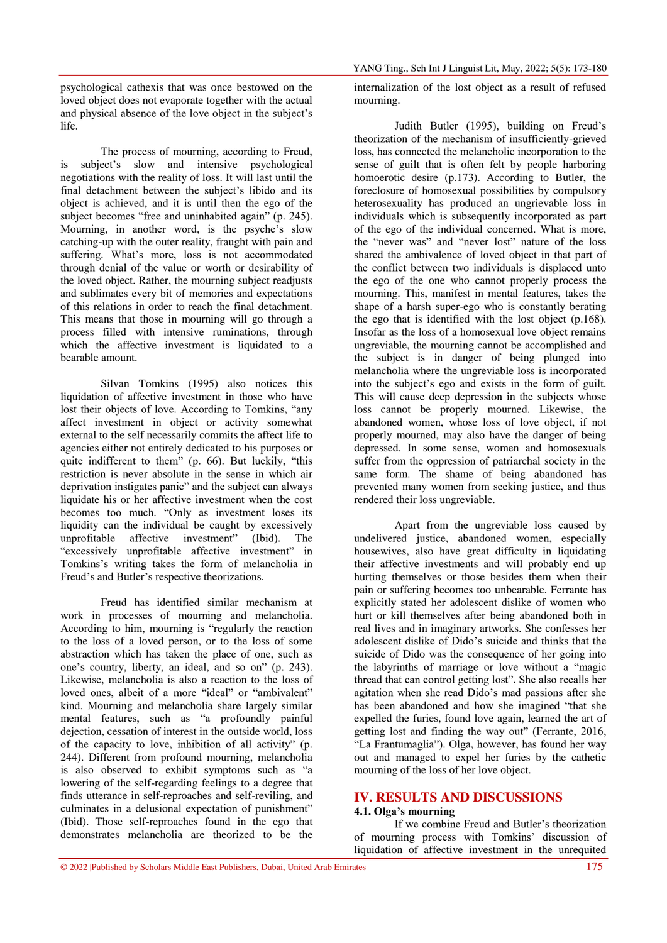psychological cathexis that was once bestowed on the loved object does not evaporate together with the actual and physical absence of the love object in the subject's life.

The process of mourning, according to Freud, is subject's slow and intensive psychological negotiations with the reality of loss. It will last until the final detachment between the subject's libido and its object is achieved, and it is until then the ego of the subject becomes "free and uninhabited again" (p. 245). Mourning, in another word, is the psyche's slow catching-up with the outer reality, fraught with pain and suffering. What's more, loss is not accommodated through denial of the value or worth or desirability of the loved object. Rather, the mourning subject readjusts and sublimates every bit of memories and expectations of this relations in order to reach the final detachment. This means that those in mourning will go through a process filled with intensive ruminations, through which the affective investment is liquidated to a bearable amount.

Silvan Tomkins (1995) also notices this liquidation of affective investment in those who have lost their objects of love. According to Tomkins, "any affect investment in object or activity somewhat external to the self necessarily commits the affect life to agencies either not entirely dedicated to his purposes or quite indifferent to them" (p. 66). But luckily, "this restriction is never absolute in the sense in which air deprivation instigates panic" and the subject can always liquidate his or her affective investment when the cost becomes too much. "Only as investment loses its liquidity can the individual be caught by excessively unprofitable affective investment" (Ibid). The "excessively unprofitable affective investment" in Tomkins's writing takes the form of melancholia in Freud's and Butler's respective theorizations.

Freud has identified similar mechanism at work in processes of mourning and melancholia. According to him, mourning is "regularly the reaction to the loss of a loved person, or to the loss of some abstraction which has taken the place of one, such as one's country, liberty, an ideal, and so on" (p. 243). Likewise, melancholia is also a reaction to the loss of loved ones, albeit of a more "ideal" or "ambivalent" kind. Mourning and melancholia share largely similar mental features, such as "a profoundly painful dejection, cessation of interest in the outside world, loss of the capacity to love, inhibition of all activity" (p. 244). Different from profound mourning, melancholia is also observed to exhibit symptoms such as "a lowering of the self-regarding feelings to a degree that finds utterance in self-reproaches and self-reviling, and culminates in a delusional expectation of punishment" (Ibid). Those self-reproaches found in the ego that demonstrates melancholia are theorized to be the

internalization of the lost object as a result of refused mourning.

Judith Butler (1995), building on Freud's theorization of the mechanism of insufficiently-grieved loss, has connected the melancholic incorporation to the sense of guilt that is often felt by people harboring homoerotic desire (p.173). According to Butler, the foreclosure of homosexual possibilities by compulsory heterosexuality has produced an ungrievable loss in individuals which is subsequently incorporated as part of the ego of the individual concerned. What is more, the "never was" and "never lost" nature of the loss shared the ambivalence of loved object in that part of the conflict between two individuals is displaced unto the ego of the one who cannot properly process the mourning. This, manifest in mental features, takes the shape of a harsh super-ego who is constantly berating the ego that is identified with the lost object (p.168). Insofar as the loss of a homosexual love object remains ungreviable, the mourning cannot be accomplished and the subject is in danger of being plunged into melancholia where the ungreviable loss is incorporated into the subject's ego and exists in the form of guilt. This will cause deep depression in the subjects whose loss cannot be properly mourned. Likewise, the abandoned women, whose loss of love object, if not properly mourned, may also have the danger of being depressed. In some sense, women and homosexuals suffer from the oppression of patriarchal society in the same form. The shame of being abandoned has prevented many women from seeking justice, and thus rendered their loss ungreviable.

Apart from the ungreviable loss caused by undelivered justice, abandoned women, especially housewives, also have great difficulty in liquidating their affective investments and will probably end up hurting themselves or those besides them when their pain or suffering becomes too unbearable. Ferrante has explicitly stated her adolescent dislike of women who hurt or kill themselves after being abandoned both in real lives and in imaginary artworks. She confesses her adolescent dislike of Dido's suicide and thinks that the suicide of Dido was the consequence of her going into the labyrinths of marriage or love without a "magic thread that can control getting lost". She also recalls her agitation when she read Dido's mad passions after she has been abandoned and how she imagined "that she expelled the furies, found love again, learned the art of getting lost and finding the way out" (Ferrante, 2016, "La Frantumaglia"). Olga, however, has found her way out and managed to expel her furies by the cathetic mourning of the loss of her love object.

#### **IV. RESULTS AND DISCUSSIONS**

#### **4.1. Olga's mourning**

If we combine Freud and Butler's theorization of mourning process with Tomkins' discussion of liquidation of affective investment in the unrequited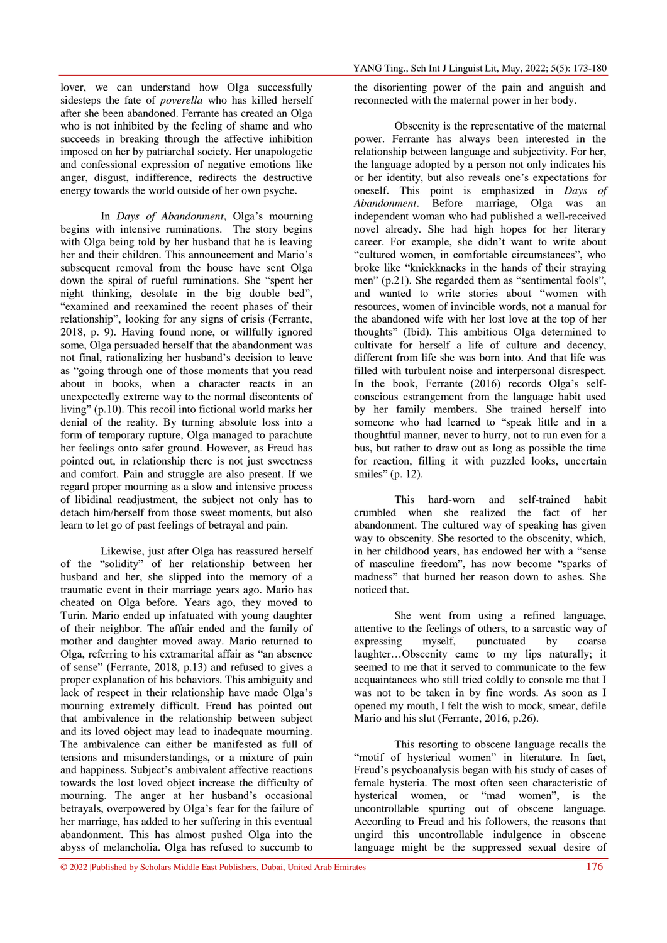lover, we can understand how Olga successfully sidesteps the fate of *poverella* who has killed herself after she been abandoned. Ferrante has created an Olga who is not inhibited by the feeling of shame and who succeeds in breaking through the affective inhibition imposed on her by patriarchal society. Her unapologetic and confessional expression of negative emotions like anger, disgust, indifference, redirects the destructive energy towards the world outside of her own psyche.

In *Days of Abandonment*, Olga's mourning begins with intensive ruminations. The story begins with Olga being told by her husband that he is leaving her and their children. This announcement and Mario's subsequent removal from the house have sent Olga down the spiral of rueful ruminations. She "spent her night thinking, desolate in the big double bed", "examined and reexamined the recent phases of their relationship", looking for any signs of crisis (Ferrante, 2018, p. 9). Having found none, or willfully ignored some, Olga persuaded herself that the abandonment was not final, rationalizing her husband's decision to leave as "going through one of those moments that you read about in books, when a character reacts in an unexpectedly extreme way to the normal discontents of living" (p.10). This recoil into fictional world marks her denial of the reality. By turning absolute loss into a form of temporary rupture, Olga managed to parachute her feelings onto safer ground. However, as Freud has pointed out, in relationship there is not just sweetness and comfort. Pain and struggle are also present. If we regard proper mourning as a slow and intensive process of libidinal readjustment, the subject not only has to detach him/herself from those sweet moments, but also learn to let go of past feelings of betrayal and pain.

Likewise, just after Olga has reassured herself of the "solidity" of her relationship between her husband and her, she slipped into the memory of a traumatic event in their marriage years ago. Mario has cheated on Olga before. Years ago, they moved to Turin. Mario ended up infatuated with young daughter of their neighbor. The affair ended and the family of mother and daughter moved away. Mario returned to Olga, referring to his extramarital affair as "an absence of sense" (Ferrante, 2018, p.13) and refused to gives a proper explanation of his behaviors. This ambiguity and lack of respect in their relationship have made Olga's mourning extremely difficult. Freud has pointed out that ambivalence in the relationship between subject and its loved object may lead to inadequate mourning. The ambivalence can either be manifested as full of tensions and misunderstandings, or a mixture of pain and happiness. Subject's ambivalent affective reactions towards the lost loved object increase the difficulty of mourning. The anger at her husband's occasional betrayals, overpowered by Olga's fear for the failure of her marriage, has added to her suffering in this eventual abandonment. This has almost pushed Olga into the abyss of melancholia. Olga has refused to succumb to

the disorienting power of the pain and anguish and reconnected with the maternal power in her body.

Obscenity is the representative of the maternal power. Ferrante has always been interested in the relationship between language and subjectivity. For her, the language adopted by a person not only indicates his or her identity, but also reveals one's expectations for oneself. This point is emphasized in *Days of Abandonment*. Before marriage, Olga was an independent woman who had published a well-received novel already. She had high hopes for her literary career. For example, she didn't want to write about "cultured women, in comfortable circumstances", who broke like "knickknacks in the hands of their straying men" (p.21). She regarded them as "sentimental fools", and wanted to write stories about "women with resources, women of invincible words, not a manual for the abandoned wife with her lost love at the top of her thoughts" (Ibid). This ambitious Olga determined to cultivate for herself a life of culture and decency, different from life she was born into. And that life was filled with turbulent noise and interpersonal disrespect. In the book, Ferrante (2016) records Olga's selfconscious estrangement from the language habit used by her family members. She trained herself into someone who had learned to "speak little and in a thoughtful manner, never to hurry, not to run even for a bus, but rather to draw out as long as possible the time for reaction, filling it with puzzled looks, uncertain smiles" (p. 12).

This hard-worn and self-trained habit crumbled when she realized the fact of her abandonment. The cultured way of speaking has given way to obscenity. She resorted to the obscenity, which, in her childhood years, has endowed her with a "sense of masculine freedom", has now become "sparks of madness" that burned her reason down to ashes. She noticed that.

She went from using a refined language, attentive to the feelings of others, to a sarcastic way of expressing myself, punctuated by coarse laughter…Obscenity came to my lips naturally; it seemed to me that it served to communicate to the few acquaintances who still tried coldly to console me that I was not to be taken in by fine words. As soon as I opened my mouth, I felt the wish to mock, smear, defile Mario and his slut (Ferrante, 2016, p.26).

This resorting to obscene language recalls the "motif of hysterical women" in literature. In fact, Freud's psychoanalysis began with his study of cases of female hysteria. The most often seen characteristic of hysterical women, or "mad women", is the uncontrollable spurting out of obscene language. According to Freud and his followers, the reasons that ungird this uncontrollable indulgence in obscene language might be the suppressed sexual desire of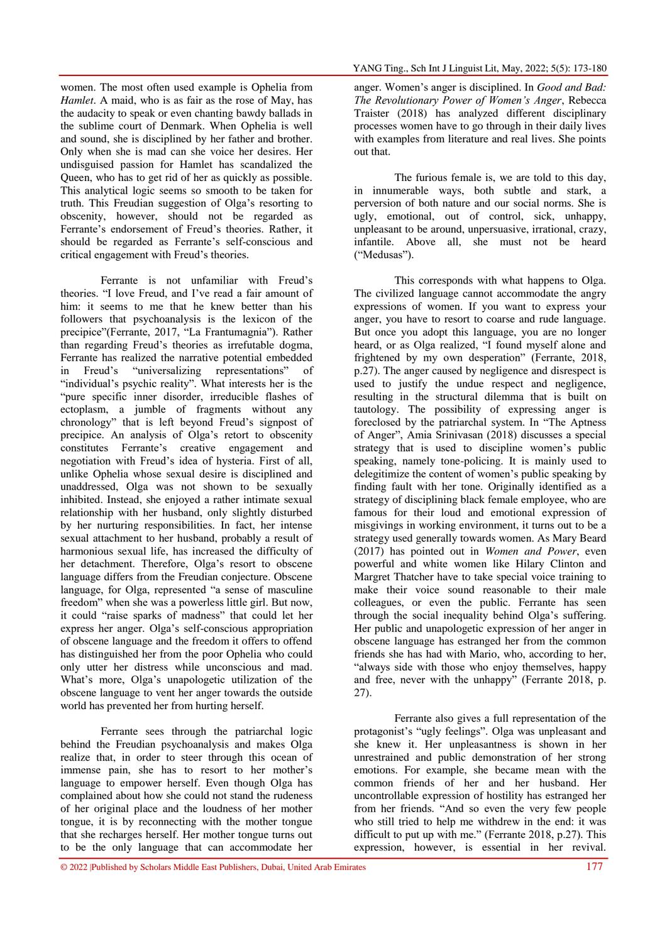women. The most often used example is Ophelia from *Hamlet*. A maid, who is as fair as the rose of May, has the audacity to speak or even chanting bawdy ballads in the sublime court of Denmark. When Ophelia is well and sound, she is disciplined by her father and brother. Only when she is mad can she voice her desires. Her undisguised passion for Hamlet has scandalized the Queen, who has to get rid of her as quickly as possible. This analytical logic seems so smooth to be taken for truth. This Freudian suggestion of Olga's resorting to obscenity, however, should not be regarded as Ferrante's endorsement of Freud's theories. Rather, it should be regarded as Ferrante's self-conscious and critical engagement with Freud's theories.

Ferrante is not unfamiliar with Freud's theories. "I love Freud, and I've read a fair amount of him: it seems to me that he knew better than his followers that psychoanalysis is the lexicon of the precipice"(Ferrante, 2017, "La Frantumagnia"). Rather than regarding Freud's theories as irrefutable dogma, Ferrante has realized the narrative potential embedded in Freud's "universalizing representations" of "individual's psychic reality". What interests her is the "pure specific inner disorder, irreducible flashes of ectoplasm, a jumble of fragments without any chronology" that is left beyond Freud's signpost of precipice. An analysis of Olga's retort to obscenity constitutes Ferrante's creative engagement and negotiation with Freud's idea of hysteria. First of all, unlike Ophelia whose sexual desire is disciplined and unaddressed, Olga was not shown to be sexually inhibited. Instead, she enjoyed a rather intimate sexual relationship with her husband, only slightly disturbed by her nurturing responsibilities. In fact, her intense sexual attachment to her husband, probably a result of harmonious sexual life, has increased the difficulty of her detachment. Therefore, Olga's resort to obscene language differs from the Freudian conjecture. Obscene language, for Olga, represented "a sense of masculine freedom" when she was a powerless little girl. But now, it could "raise sparks of madness" that could let her express her anger. Olga's self-conscious appropriation of obscene language and the freedom it offers to offend has distinguished her from the poor Ophelia who could only utter her distress while unconscious and mad. What's more, Olga's unapologetic utilization of the obscene language to vent her anger towards the outside world has prevented her from hurting herself.

Ferrante sees through the patriarchal logic behind the Freudian psychoanalysis and makes Olga realize that, in order to steer through this ocean of immense pain, she has to resort to her mother's language to empower herself. Even though Olga has complained about how she could not stand the rudeness of her original place and the loudness of her mother tongue, it is by reconnecting with the mother tongue that she recharges herself. Her mother tongue turns out to be the only language that can accommodate her

anger. Women's anger is disciplined. In *Good and Bad: The Revolutionary Power of Women's Anger*, Rebecca Traister (2018) has analyzed different disciplinary processes women have to go through in their daily lives with examples from literature and real lives. She points out that.

The furious female is, we are told to this day, in innumerable ways, both subtle and stark, a perversion of both nature and our social norms. She is ugly, emotional, out of control, sick, unhappy, unpleasant to be around, unpersuasive, irrational, crazy, infantile. Above all, she must not be heard ("Medusas").

This corresponds with what happens to Olga. The civilized language cannot accommodate the angry expressions of women. If you want to express your anger, you have to resort to coarse and rude language. But once you adopt this language, you are no longer heard, or as Olga realized, "I found myself alone and frightened by my own desperation" (Ferrante, 2018, p.27). The anger caused by negligence and disrespect is used to justify the undue respect and negligence, resulting in the structural dilemma that is built on tautology. The possibility of expressing anger is foreclosed by the patriarchal system. In "The Aptness of Anger", Amia Srinivasan (2018) discusses a special strategy that is used to discipline women's public speaking, namely tone-policing. It is mainly used to delegitimize the content of women's public speaking by finding fault with her tone. Originally identified as a strategy of disciplining black female employee, who are famous for their loud and emotional expression of misgivings in working environment, it turns out to be a strategy used generally towards women. As Mary Beard (2017) has pointed out in *Women and Power*, even powerful and white women like Hilary Clinton and Margret Thatcher have to take special voice training to make their voice sound reasonable to their male colleagues, or even the public. Ferrante has seen through the social inequality behind Olga's suffering. Her public and unapologetic expression of her anger in obscene language has estranged her from the common friends she has had with Mario, who, according to her, "always side with those who enjoy themselves, happy and free, never with the unhappy" (Ferrante 2018, p. 27).

Ferrante also gives a full representation of the protagonist's "ugly feelings". Olga was unpleasant and she knew it. Her unpleasantness is shown in her unrestrained and public demonstration of her strong emotions. For example, she became mean with the common friends of her and her husband. Her uncontrollable expression of hostility has estranged her from her friends. "And so even the very few people who still tried to help me withdrew in the end: it was difficult to put up with me." (Ferrante 2018, p.27). This expression, however, is essential in her revival.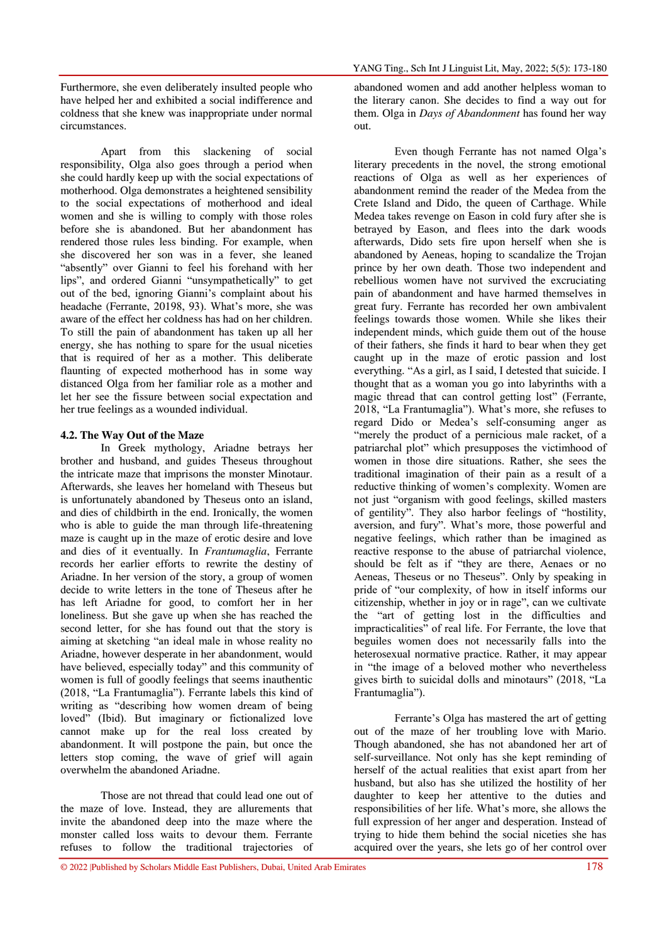Furthermore, she even deliberately insulted people who have helped her and exhibited a social indifference and coldness that she knew was inappropriate under normal circumstances.

Apart from this slackening of social responsibility, Olga also goes through a period when she could hardly keep up with the social expectations of motherhood. Olga demonstrates a heightened sensibility to the social expectations of motherhood and ideal women and she is willing to comply with those roles before she is abandoned. But her abandonment has rendered those rules less binding. For example, when she discovered her son was in a fever, she leaned "absently" over Gianni to feel his forehand with her lips", and ordered Gianni "unsympathetically" to get out of the bed, ignoring Gianni's complaint about his headache (Ferrante, 20198, 93). What's more, she was aware of the effect her coldness has had on her children. To still the pain of abandonment has taken up all her energy, she has nothing to spare for the usual niceties that is required of her as a mother. This deliberate flaunting of expected motherhood has in some way distanced Olga from her familiar role as a mother and let her see the fissure between social expectation and her true feelings as a wounded individual.

#### **4.2. The Way Out of the Maze**

In Greek mythology, Ariadne betrays her brother and husband, and guides Theseus throughout the intricate maze that imprisons the monster Minotaur. Afterwards, she leaves her homeland with Theseus but is unfortunately abandoned by Theseus onto an island, and dies of childbirth in the end. Ironically, the women who is able to guide the man through life-threatening maze is caught up in the maze of erotic desire and love and dies of it eventually. In *Frantumaglia*, Ferrante records her earlier efforts to rewrite the destiny of Ariadne. In her version of the story, a group of women decide to write letters in the tone of Theseus after he has left Ariadne for good, to comfort her in her loneliness. But she gave up when she has reached the second letter, for she has found out that the story is aiming at sketching "an ideal male in whose reality no Ariadne, however desperate in her abandonment, would have believed, especially today" and this community of women is full of goodly feelings that seems inauthentic (2018, "La Frantumaglia"). Ferrante labels this kind of writing as "describing how women dream of being loved" (Ibid). But imaginary or fictionalized love cannot make up for the real loss created by abandonment. It will postpone the pain, but once the letters stop coming, the wave of grief will again overwhelm the abandoned Ariadne.

Those are not thread that could lead one out of the maze of love. Instead, they are allurements that invite the abandoned deep into the maze where the monster called loss waits to devour them. Ferrante refuses to follow the traditional trajectories of

abandoned women and add another helpless woman to the literary canon. She decides to find a way out for them. Olga in *Days of Abandonment* has found her way out.

Even though Ferrante has not named Olga's literary precedents in the novel, the strong emotional reactions of Olga as well as her experiences of abandonment remind the reader of the Medea from the Crete Island and Dido, the queen of Carthage. While Medea takes revenge on Eason in cold fury after she is betrayed by Eason, and flees into the dark woods afterwards, Dido sets fire upon herself when she is abandoned by Aeneas, hoping to scandalize the Trojan prince by her own death. Those two independent and rebellious women have not survived the excruciating pain of abandonment and have harmed themselves in great fury. Ferrante has recorded her own ambivalent feelings towards those women. While she likes their independent minds, which guide them out of the house of their fathers, she finds it hard to bear when they get caught up in the maze of erotic passion and lost everything. "As a girl, as I said, I detested that suicide. I thought that as a woman you go into labyrinths with a magic thread that can control getting lost" (Ferrante, 2018, "La Frantumaglia"). What's more, she refuses to regard Dido or Medea's self-consuming anger as "merely the product of a pernicious male racket, of a patriarchal plot" which presupposes the victimhood of women in those dire situations. Rather, she sees the traditional imagination of their pain as a result of a reductive thinking of women's complexity. Women are not just "organism with good feelings, skilled masters of gentility". They also harbor feelings of "hostility, aversion, and fury". What's more, those powerful and negative feelings, which rather than be imagined as reactive response to the abuse of patriarchal violence, should be felt as if "they are there, Aenaes or no Aeneas, Theseus or no Theseus". Only by speaking in pride of "our complexity, of how in itself informs our citizenship, whether in joy or in rage", can we cultivate the "art of getting lost in the difficulties and impracticalities" of real life. For Ferrante, the love that beguiles women does not necessarily falls into the heterosexual normative practice. Rather, it may appear in "the image of a beloved mother who nevertheless gives birth to suicidal dolls and minotaurs" (2018, "La Frantumaglia").

Ferrante's Olga has mastered the art of getting out of the maze of her troubling love with Mario. Though abandoned, she has not abandoned her art of self-surveillance. Not only has she kept reminding of herself of the actual realities that exist apart from her husband, but also has she utilized the hostility of her daughter to keep her attentive to the duties and responsibilities of her life. What's more, she allows the full expression of her anger and desperation. Instead of trying to hide them behind the social niceties she has acquired over the years, she lets go of her control over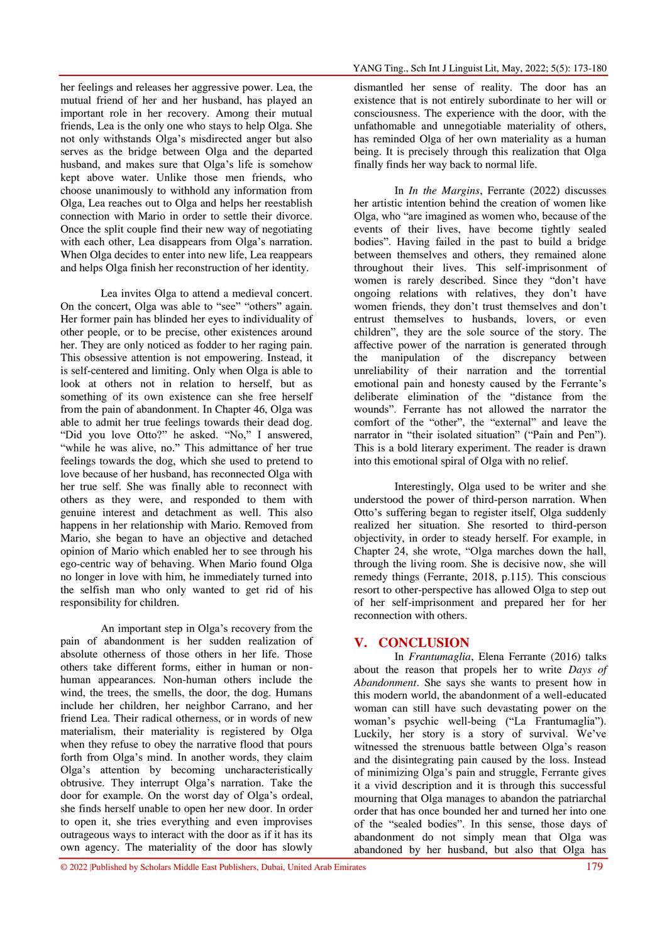her feelings and releases her aggressive power. Lea, the mutual friend of her and her husband, has played an important role in her recovery. Among their mutual friends, Lea is the only one who stays to help Olga. She not only withstands Olga's misdirected anger but also serves as the bridge between Olga and the departed husband, and makes sure that Olga's life is somehow kept above water. Unlike those men friends, who choose unanimously to withhold any information from Olga, Lea reaches out to Olga and helps her reestablish connection with Mario in order to settle their divorce. Once the split couple find their new way of negotiating with each other, Lea disappears from Olga's narration. When Olga decides to enter into new life, Lea reappears and helps Olga finish her reconstruction of her identity.

Lea invites Olga to attend a medieval concert. On the concert, Olga was able to "see" "others" again. Her former pain has blinded her eyes to individuality of other people, or to be precise, other existences around her. They are only noticed as fodder to her raging pain. This obsessive attention is not empowering. Instead, it is self-centered and limiting. Only when Olga is able to look at others not in relation to herself, but as something of its own existence can she free herself from the pain of abandonment. In Chapter 46, Olga was able to admit her true feelings towards their dead dog. "Did you love Otto?" he asked. "No," I answered, "while he was alive, no." This admittance of her true feelings towards the dog, which she used to pretend to love because of her husband, has reconnected Olga with her true self. She was finally able to reconnect with others as they were, and responded to them with genuine interest and detachment as well. This also happens in her relationship with Mario. Removed from Mario, she began to have an objective and detached opinion of Mario which enabled her to see through his ego-centric way of behaving. When Mario found Olga no longer in love with him, he immediately turned into the selfish man who only wanted to get rid of his responsibility for children.

An important step in Olga's recovery from the pain of abandonment is her sudden realization of absolute otherness of those others in her life. Those others take different forms, either in human or nonhuman appearances. Non-human others include the wind, the trees, the smells, the door, the dog. Humans include her children, her neighbor Carrano, and her friend Lea. Their radical otherness, or in words of new materialism, their materiality is registered by Olga when they refuse to obey the narrative flood that pours forth from Olga's mind. In another words, they claim Olga's attention by becoming uncharacteristically obtrusive. They interrupt Olga's narration. Take the door for example. On the worst day of Olga's ordeal, she finds herself unable to open her new door. In order to open it, she tries everything and even improvises outrageous ways to interact with the door as if it has its own agency. The materiality of the door has slowly

dismantled her sense of reality. The door has an existence that is not entirely subordinate to her will or consciousness. The experience with the door, with the unfathomable and unnegotiable materiality of others, has reminded Olga of her own materiality as a human being. It is precisely through this realization that Olga finally finds her way back to normal life.

In *In the Margins*, Ferrante (2022) discusses her artistic intention behind the creation of women like Olga, who "are imagined as women who, because of the events of their lives, have become tightly sealed bodies". Having failed in the past to build a bridge between themselves and others, they remained alone throughout their lives. This self-imprisonment of women is rarely described. Since they "don't have ongoing relations with relatives, they don't have women friends, they don't trust themselves and don't entrust themselves to husbands, lovers, or even children", they are the sole source of the story. The affective power of the narration is generated through the manipulation of the discrepancy between unreliability of their narration and the torrential emotional pain and honesty caused by the Ferrante's deliberate elimination of the "distance from the wounds". Ferrante has not allowed the narrator the comfort of the "other", the "external" and leave the narrator in "their isolated situation" ("Pain and Pen"). This is a bold literary experiment. The reader is drawn into this emotional spiral of Olga with no relief.

Interestingly, Olga used to be writer and she understood the power of third-person narration. When Otto's suffering began to register itself, Olga suddenly realized her situation. She resorted to third-person objectivity, in order to steady herself. For example, in Chapter 24, she wrote, "Olga marches down the hall, through the living room. She is decisive now, she will remedy things (Ferrante, 2018, p.115). This conscious resort to other-perspective has allowed Olga to step out of her self-imprisonment and prepared her for her reconnection with others.

### **V. CONCLUSION**

In *Frantumaglia*, Elena Ferrante (2016) talks about the reason that propels her to write *Days of Abandonment*. She says she wants to present how in this modern world, the abandonment of a well-educated woman can still have such devastating power on the woman's psychic well-being ("La Frantumaglia"). Luckily, her story is a story of survival. We've witnessed the strenuous battle between Olga's reason and the disintegrating pain caused by the loss. Instead of minimizing Olga's pain and struggle, Ferrante gives it a vivid description and it is through this successful mourning that Olga manages to abandon the patriarchal order that has once bounded her and turned her into one of the "sealed bodies". In this sense, those days of abandonment do not simply mean that Olga was abandoned by her husband, but also that Olga has